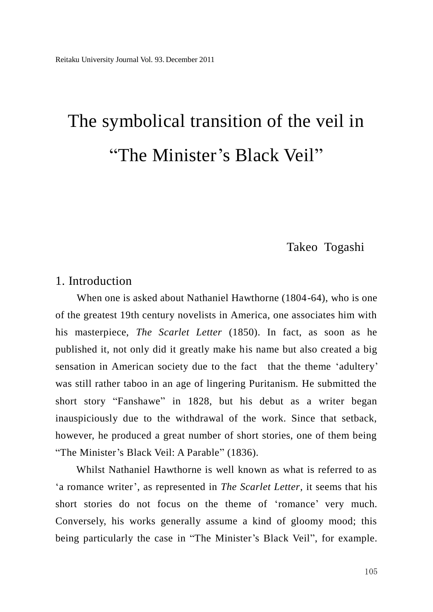# The symbolical transition of the veil in "The Minister's Black Veil"

## Takeo Togashi

#### 1. Introduction

 When one is asked about Nathaniel Hawthorne (1804-64), who is one of the greatest 19th century novelists in America, one associates him with his masterpiece, *The Scarlet Letter* (1850). In fact, as soon as he published it, not only did it greatly make his name but also created a big sensation in American society due to the fact that the theme 'adultery' was still rather taboo in an age of lingering Puritanism. He submitted the short story "Fanshawe" in 1828, but his debut as a writer began inauspiciously due to the withdrawal of the work. Since that setback, however, he produced a great number of short stories, one of them being "The Minister's Black Veil: A Parable" (1836).

Whilst Nathaniel Hawthorne is well known as what is referred to as "a romance writer", as represented in *The Scarlet Letter*, it seems that his short stories do not focus on the theme of 'romance' very much. Conversely, his works generally assume a kind of gloomy mood; this being particularly the case in "The Minister's Black Veil", for example.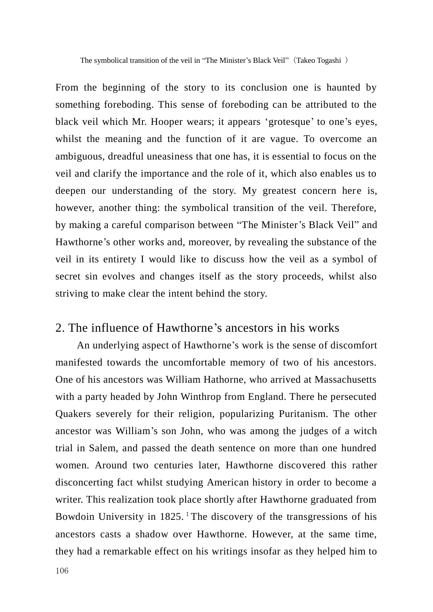The symbolical transition of the veil in "The Minister's Black Veil" (Takeo Togashi)

From the beginning of the story to its conclusion one is haunted by something foreboding. This sense of foreboding can be attributed to the black veil which Mr. Hooper wears; it appears 'grotesque' to one's eyes, whilst the meaning and the function of it are vague. To overcome an ambiguous, dreadful uneasiness that one has, it is essential to focus on the veil and clarify the importance and the role of it, which also enables us to deepen our understanding of the story. My greatest concern here is, however, another thing: the symbolical transition of the veil. Therefore, by making a careful comparison between "The Minister"s Black Veil" and Hawthorne's other works and, moreover, by revealing the substance of the veil in its entirety I would like to discuss how the veil as a symbol of secret sin evolves and changes itself as the story proceeds, whilst also striving to make clear the intent behind the story.

#### 2. The influence of Hawthorne"s ancestors in his works

 An underlying aspect of Hawthorne"s work is the sense of discomfort manifested towards the uncomfortable memory of two of his ancestors. One of his ancestors was William Hathorne, who arrived at Massachusetts with a party headed by John Winthrop from England. There he persecuted Quakers severely for their religion, popularizing Puritanism. The other ancestor was William"s son John, who was among the judges of a witch trial in Salem, and passed the death sentence on more than one hundred women. Around two centuries later, Hawthorne discovered this rather disconcerting fact whilst studying American history in order to become a writer. This realization took place shortly after Hawthorne graduated from Bowdoin University in  $1825$ .<sup>1</sup>The discovery of the transgressions of his ancestors casts a shadow over Hawthorne. However, at the same time, they had a remarkable effect on his writings insofar as they helped him to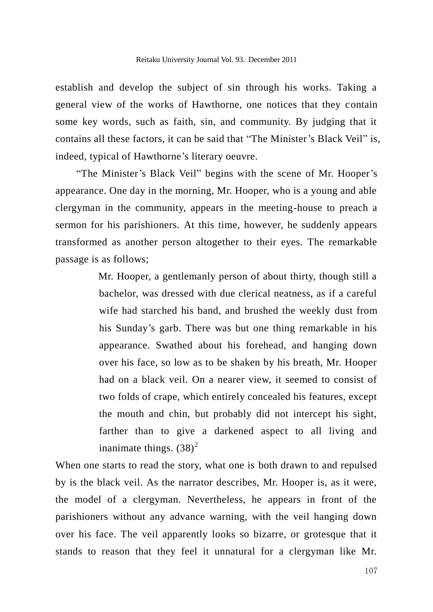establish and develop the subject of sin through his works. Taking a general view of the works of Hawthorne, one notices that they contain some key words, such as faith, sin, and community. By judging that it contains all these factors, it can be said that "The Minister"s Black Veil" is, indeed, typical of Hawthorne's literary oeuvre.

"The Minister's Black Veil" begins with the scene of Mr. Hooper's appearance. One day in the morning, Mr. Hooper, who is a young and able clergyman in the community, appears in the meeting-house to preach a sermon for his parishioners. At this time, however, he suddenly appears transformed as another person altogether to their eyes. The remarkable passage is as follows;

> Mr. Hooper, a gentlemanly person of about thirty, though still a bachelor, was dressed with due clerical neatness, as if a careful wife had starched his band, and brushed the weekly dust from his Sunday's garb. There was but one thing remarkable in his appearance. Swathed about his forehead, and hanging down over his face, so low as to be shaken by his breath, Mr. Hooper had on a black veil. On a nearer view, it seemed to consist of two folds of crape, which entirely concealed his features, except the mouth and chin, but probably did not intercept his sight, farther than to give a darkened aspect to all living and inanimate things.  $(38)^2$

When one starts to read the story, what one is both drawn to and repulsed by is the black veil. As the narrator describes, Mr. Hooper is, as it were, the model of a clergyman. Nevertheless, he appears in front of the parishioners without any advance warning, with the veil hanging down over his face. The veil apparently looks so bizarre, or grotesque that it stands to reason that they feel it unnatural for a clergyman like Mr.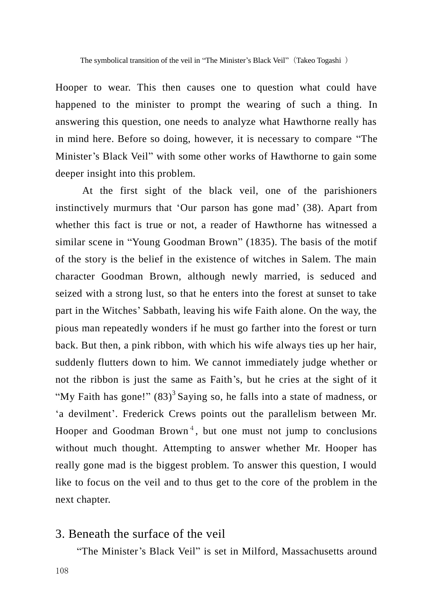Hooper to wear. This then causes one to question what could have happened to the minister to prompt the wearing of such a thing. In answering this question, one needs to analyze what Hawthorne really has in mind here. Before so doing, however, it is necessary to compare "The Minister's Black Veil" with some other works of Hawthorne to gain some deeper insight into this problem.

At the first sight of the black veil, one of the parishioners instinctively murmurs that 'Our parson has gone mad' (38). Apart from whether this fact is true or not, a reader of Hawthorne has witnessed a similar scene in "Young Goodman Brown" (1835). The basis of the motif of the story is the belief in the existence of witches in Salem. The main character Goodman Brown, although newly married, is seduced and seized with a strong lust, so that he enters into the forest at sunset to take part in the Witches" Sabbath, leaving his wife Faith alone. On the way, the pious man repeatedly wonders if he must go farther into the forest or turn back. But then, a pink ribbon, with which his wife always ties up her hair, suddenly flutters down to him. We cannot immediately judge whether or not the ribbon is just the same as Faith"s, but he cries at the sight of it "My Faith has gone!"  $(83)^3$  Saying so, he falls into a state of madness, or 'a devilment'. Frederick Crews points out the parallelism between Mr. Hooper and Goodman Brown<sup>4</sup>, but one must not jump to conclusions without much thought. Attempting to answer whether Mr. Hooper has really gone mad is the biggest problem. To answer this question, I would like to focus on the veil and to thus get to the core of the problem in the next chapter.

#### 3. Beneath the surface of the veil

"The Minister"s Black Veil" is set in Milford, Massachusetts around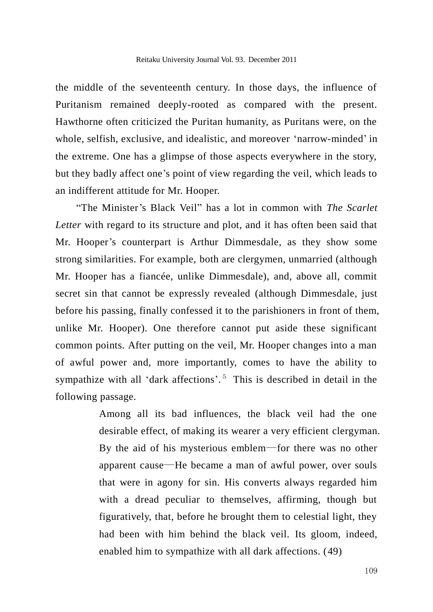the middle of the seventeenth century. In those days, the influence of Puritanism remained deeply-rooted as compared with the present. Hawthorne often criticized the Puritan humanity, as Puritans were, on the whole, selfish, exclusive, and idealistic, and moreover "narrow-minded" in the extreme. One has a glimpse of those aspects everywhere in the story, but they badly affect one"s point of view regarding the veil, which leads to an indifferent attitude for Mr. Hooper.

"The Minister"s Black Veil" has a lot in common with *The Scarlet Letter* with regard to its structure and plot, and it has often been said that Mr. Hooper's counterpart is Arthur Dimmesdale, as they show some strong similarities. For example, both are clergymen, unmarried (although Mr. Hooper has a fiancée, unlike Dimmesdale), and, above all, commit secret sin that cannot be expressly revealed (although Dimmesdale, just before his passing, finally confessed it to the parishioners in front of them, unlike Mr. Hooper). One therefore cannot put aside these significant common points. After putting on the veil, Mr. Hooper changes into a man of awful power and, more importantly, comes to have the ability to sympathize with all 'dark affections'.<sup>5</sup> This is described in detail in the following passage.

> Among all its bad influences, the black veil had the one desirable effect, of making its wearer a very efficient clergyman. By the aid of his mysterious emblem―for there was no other apparent cause―He became a man of awful power, over souls that were in agony for sin. His converts always regarded him with a dread peculiar to themselves, affirming, though but figuratively, that, before he brought them to celestial light, they had been with him behind the black veil. Its gloom, indeed, enabled him to sympathize with all dark affections. (49)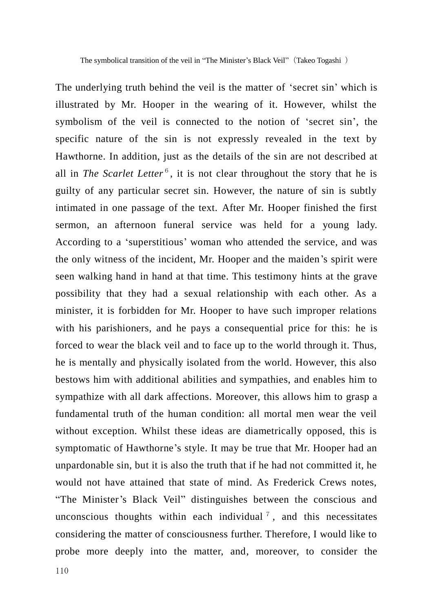The symbolical transition of the veil in "The Minister's Black Veil" (Takeo Togashi)

The underlying truth behind the veil is the matter of "secret sin" which is illustrated by Mr. Hooper in the wearing of it. However, whilst the symbolism of the veil is connected to the notion of 'secret sin', the specific nature of the sin is not expressly revealed in the text by Hawthorne. In addition, just as the details of the sin are not described at all in *The Scarlet Letter*<sup>6</sup>, it is not clear throughout the story that he is guilty of any particular secret sin. However, the nature of sin is subtly intimated in one passage of the text. After Mr. Hooper finished the first sermon, an afternoon funeral service was held for a young lady. According to a "superstitious" woman who attended the service, and was the only witness of the incident, Mr. Hooper and the maiden"s spirit were seen walking hand in hand at that time. This testimony hints at the grave possibility that they had a sexual relationship with each other. As a minister, it is forbidden for Mr. Hooper to have such improper relations with his parishioners, and he pays a consequential price for this: he is forced to wear the black veil and to face up to the world through it. Thus, he is mentally and physically isolated from the world. However, this also bestows him with additional abilities and sympathies, and enables him to sympathize with all dark affections. Moreover, this allows him to grasp a fundamental truth of the human condition: all mortal men wear the veil without exception. Whilst these ideas are diametrically opposed, this is symptomatic of Hawthorne's style. It may be true that Mr. Hooper had an unpardonable sin, but it is also the truth that if he had not committed it, he would not have attained that state of mind. As Frederick Crews notes, "The Minister"s Black Veil" distinguishes between the conscious and unconscious thoughts within each individual  $<sup>7</sup>$ , and this necessitates</sup> considering the matter of consciousness further. Therefore, I would like to probe more deeply into the matter, and, moreover, to consider the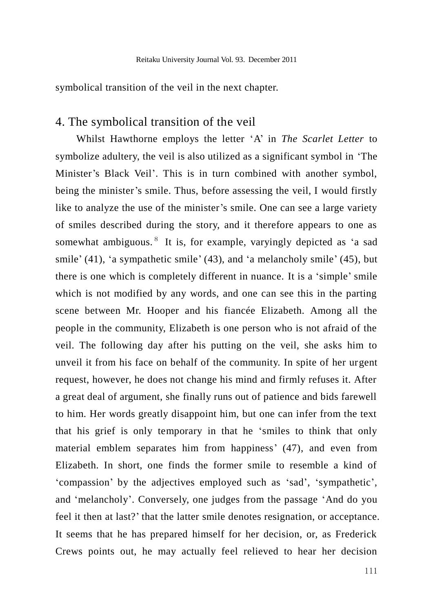symbolical transition of the veil in the next chapter.

## 4. The symbolical transition of the veil

Whilst Hawthorne employs the letter "A" in *The Scarlet Letter* to symbolize adultery, the veil is also utilized as a significant symbol in "The Minister's Black Veil'. This is in turn combined with another symbol, being the minister's smile. Thus, before assessing the veil, I would firstly like to analyze the use of the minister's smile. One can see a large variety of smiles described during the story, and it therefore appears to one as somewhat ambiguous.<sup>8</sup> It is, for example, varyingly depicted as 'a sad smile" (41), "a sympathetic smile" (43), and "a melancholy smile" (45), but there is one which is completely different in nuance. It is a "simple" smile which is not modified by any words, and one can see this in the parting scene between Mr. Hooper and his fiancée Elizabeth. Among all the people in the community, Elizabeth is one person who is not afraid of the veil. The following day after his putting on the veil, she asks him to unveil it from his face on behalf of the community. In spite of her urgent request, however, he does not change his mind and firmly refuses it. After a great deal of argument, she finally runs out of patience and bids farewell to him. Her words greatly disappoint him, but one can infer from the text that his grief is only temporary in that he "smiles to think that only material emblem separates him from happiness' (47), and even from Elizabeth. In short, one finds the former smile to resemble a kind of "compassion" by the adjectives employed such as "sad", "sympathetic", and "melancholy". Conversely, one judges from the passage "And do you feel it then at last?" that the latter smile denotes resignation, or acceptance. It seems that he has prepared himself for her decision, or, as Frederick Crews points out, he may actually feel relieved to hear her decision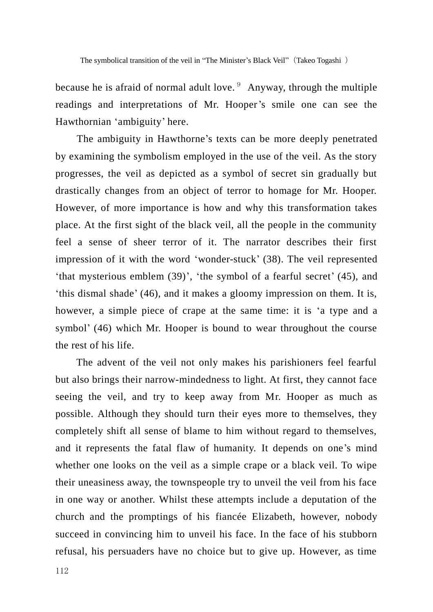because he is afraid of normal adult love.  $9$  Anyway, through the multiple readings and interpretations of Mr. Hooper's smile one can see the Hawthornian 'ambiguity' here.

The ambiguity in Hawthorne's texts can be more deeply penetrated by examining the symbolism employed in the use of the veil. As the story progresses, the veil as depicted as a symbol of secret sin gradually but drastically changes from an object of terror to homage for Mr. Hooper. However, of more importance is how and why this transformation takes place. At the first sight of the black veil, all the people in the community feel a sense of sheer terror of it. The narrator describes their first impression of it with the word "wonder-stuck" (38). The veil represented 'that mysterious emblem  $(39)$ ', 'the symbol of a fearful secret'  $(45)$ , and "this dismal shade" (46), and it makes a gloomy impression on them. It is, however, a simple piece of crape at the same time: it is 'a type and a symbol' (46) which Mr. Hooper is bound to wear throughout the course the rest of his life.

The advent of the veil not only makes his parishioners feel fearful but also brings their narrow-mindedness to light. At first, they cannot face seeing the veil, and try to keep away from Mr. Hooper as much as possible. Although they should turn their eyes more to themselves, they completely shift all sense of blame to him without regard to themselves, and it represents the fatal flaw of humanity. It depends on one"s mind whether one looks on the veil as a simple crape or a black veil. To wipe their uneasiness away, the townspeople try to unveil the veil from his face in one way or another. Whilst these attempts include a deputation of the church and the promptings of his fiancée Elizabeth, however, nobody succeed in convincing him to unveil his face. In the face of his stubborn refusal, his persuaders have no choice but to give up. However, as time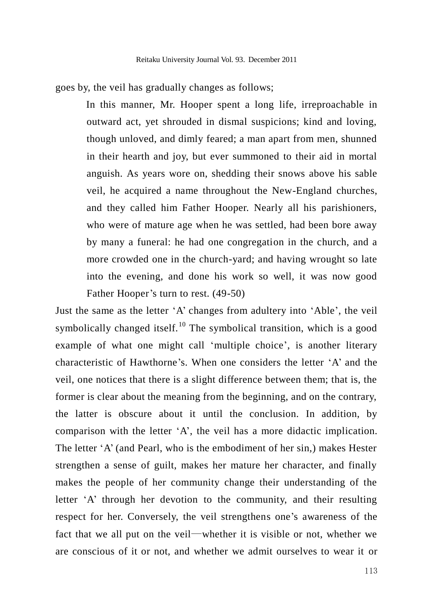goes by, the veil has gradually changes as follows;

In this manner, Mr. Hooper spent a long life, irreproachable in outward act, yet shrouded in dismal suspicions; kind and loving, though unloved, and dimly feared; a man apart from men, shunned in their hearth and joy, but ever summoned to their aid in mortal anguish. As years wore on, shedding their snows above his sable veil, he acquired a name throughout the New-England churches, and they called him Father Hooper. Nearly all his parishioners, who were of mature age when he was settled, had been bore away by many a funeral: he had one congregation in the church, and a more crowded one in the church-yard; and having wrought so late into the evening, and done his work so well, it was now good Father Hooper's turn to rest. (49-50)

Just the same as the letter "A" changes from adultery into "Able", the veil symbolically changed itself.<sup>10</sup> The symbolical transition, which is a good example of what one might call 'multiple choice', is another literary characteristic of Hawthorne"s. When one considers the letter "A" and the veil, one notices that there is a slight difference between them; that is, the former is clear about the meaning from the beginning, and on the contrary, the latter is obscure about it until the conclusion. In addition, by comparison with the letter "A", the veil has a more didactic implication. The letter "A" (and Pearl, who is the embodiment of her sin,) makes Hester strengthen a sense of guilt, makes her mature her character, and finally makes the people of her community change their understanding of the letter "A" through her devotion to the community, and their resulting respect for her. Conversely, the veil strengthens one's awareness of the fact that we all put on the veil―whether it is visible or not, whether we are conscious of it or not, and whether we admit ourselves to wear it or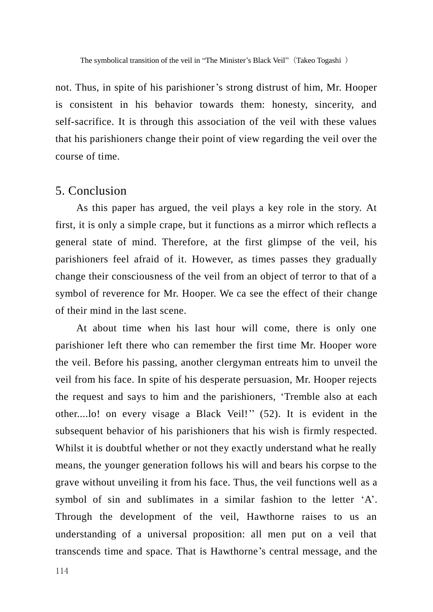not. Thus, in spite of his parishioner's strong distrust of him, Mr. Hooper is consistent in his behavior towards them: honesty, sincerity, and self-sacrifice. It is through this association of the veil with these values that his parishioners change their point of view regarding the veil over the course of time.

#### 5. Conclusion

As this paper has argued, the veil plays a key role in the story. At first, it is only a simple crape, but it functions as a mirror which reflects a general state of mind. Therefore, at the first glimpse of the veil, his parishioners feel afraid of it. However, as times passes they gradually change their consciousness of the veil from an object of terror to that of a symbol of reverence for Mr. Hooper. We ca see the effect of their change of their mind in the last scene.

At about time when his last hour will come, there is only one parishioner left there who can remember the first time Mr. Hooper wore the veil. Before his passing, another clergyman entreats him to unveil the veil from his face. In spite of his desperate persuasion, Mr. Hooper rejects the request and says to him and the parishioners, "Tremble also at each other....lo! on every visage a Black Veil!"" (52). It is evident in the subsequent behavior of his parishioners that his wish is firmly respected. Whilst it is doubtful whether or not they exactly understand what he really means, the younger generation follows his will and bears his corpse to the grave without unveiling it from his face. Thus, the veil functions well as a symbol of sin and sublimates in a similar fashion to the letter 'A'. Through the development of the veil, Hawthorne raises to us an understanding of a universal proposition: all men put on a veil that transcends time and space. That is Hawthorne"s central message, and the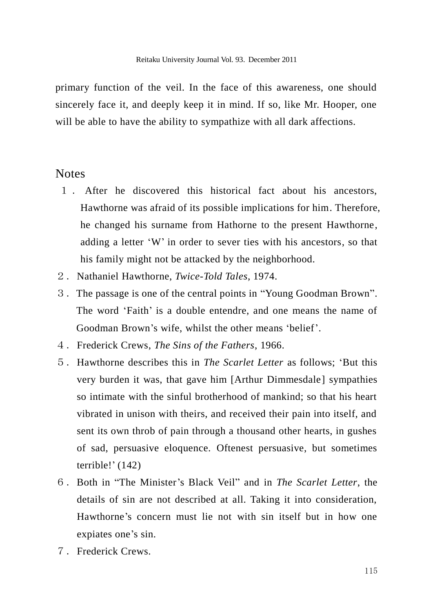primary function of the veil. In the face of this awareness, one should sincerely face it, and deeply keep it in mind. If so, like Mr. Hooper, one will be able to have the ability to sympathize with all dark affections.

#### **Notes**

- 1 . After he discovered this historical fact about his ancestors, Hawthorne was afraid of its possible implications for him. Therefore, he changed his surname from Hathorne to the present Hawthorne, adding a letter "W" in order to sever ties with his ancestors, so that his family might not be attacked by the neighborhood.
- 2.Nathaniel Hawthorne, *Twice-Told Tales*, 1974.
- 3.The passage is one of the central points in "Young Goodman Brown". The word "Faith" is a double entendre, and one means the name of Goodman Brown's wife, whilst the other means 'belief'.
- 4.Frederick Crews, *The Sins of the Fathers*, 1966.
- 5.Hawthorne describes this in *The Scarlet Letter* as follows; "But this very burden it was, that gave him [Arthur Dimmesdale] sympathies so intimate with the sinful brotherhood of mankind; so that his heart vibrated in unison with theirs, and received their pain into itself, and sent its own throb of pain through a thousand other hearts, in gushes of sad, persuasive eloquence. Oftenest persuasive, but sometimes terrible!" (142)
- 6.Both in "The Minister"s Black Veil" and in *The Scarlet Letter*, the details of sin are not described at all. Taking it into consideration, Hawthorne"s concern must lie not with sin itself but in how one expiates one's sin.
- 7.Frederick Crews.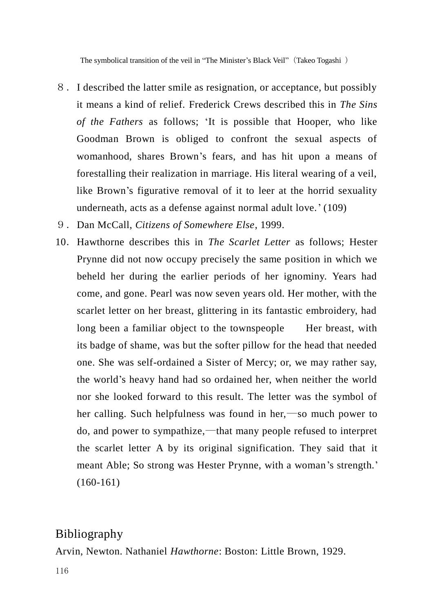The symbolical transition of the veil in "The Minister's Black Veil" (Takeo Togashi)

- 8.I described the latter smile as resignation, or acceptance, but possibly it means a kind of relief. Frederick Crews described this in *The Sins of the Fathers* as follows; "It is possible that Hooper, who like Goodman Brown is obliged to confront the sexual aspects of womanhood, shares Brown"s fears, and has hit upon a means of forestalling their realization in marriage. His literal wearing of a veil, like Brown's figurative removal of it to leer at the horrid sexuality underneath, acts as a defense against normal adult love.' (109)
- 9.Dan McCall, *Citizens of Somewhere Else*, 1999.
- 10.Hawthorne describes this in *The Scarlet Letter* as follows; Hester Prynne did not now occupy precisely the same position in which we beheld her during the earlier periods of her ignominy. Years had come, and gone. Pearl was now seven years old. Her mother, with the scarlet letter on her breast, glittering in its fantastic embroidery, had long been a familiar object to the townspeople Her breast, with its badge of shame, was but the softer pillow for the head that needed one. She was self-ordained a Sister of Mercy; or, we may rather say, the world"s heavy hand had so ordained her, when neither the world nor she looked forward to this result. The letter was the symbol of her calling. Such helpfulness was found in her,—so much power to do, and power to sympathize,―that many people refused to interpret the scarlet letter A by its original signification. They said that it meant Able; So strong was Hester Prynne, with a woman's strength.' (160-161)

### Bibliography

Arvin, Newton. Nathaniel *Hawthorne*: Boston: Little Brown, 1929.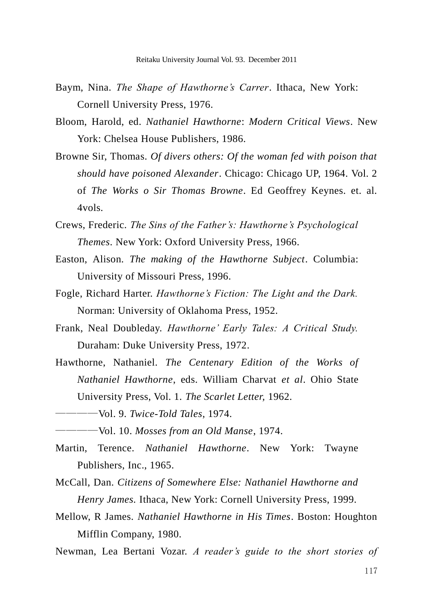- Baym, Nina. *The Shape of Hawthorne's Carrer*. Ithaca, New York: Cornell University Press, 1976.
- Bloom, Harold, ed. *Nathaniel Hawthorne*: *Modern Critical Views*. New York: Chelsea House Publishers, 1986.
- Browne Sir, Thomas. *Of divers others: Of the woman fed with poison that should have poisoned Alexander*. Chicago: Chicago UP, 1964. Vol. 2 of *The Works o Sir Thomas Browne*. Ed Geoffrey Keynes. et. al. 4vols.
- Crews, Frederic. *The Sins of the Father's: Hawthorne's Psychological Themes*. New York: Oxford University Press, 1966.
- Easton, Alison. *The making of the Hawthorne Subject*. Columbia: University of Missouri Press, 1996.
- Fogle, Richard Harter. *Hawthorne's Fiction: The Light and the Dark.* Norman: University of Oklahoma Press, 1952.
- Frank, Neal Doubleday. *Hawthorne' Early Tales: A Critical Study.* Duraham: Duke University Press, 1972.
- Hawthorne, Nathaniel. *The Centenary Edition of the Works of Nathaniel Hawthorne*, eds. William Charvat *et al*. Ohio State University Press, Vol. 1. *The Scarlet Letter,* 1962.
- ――――Vol. 9. *Twice-Told Tales*, 1974.
- ――――Vol. 10. *Mosses from an Old Manse*, 1974.
- Martin, Terence. *Nathaniel Hawthorne*. New York: Twayne Publishers, Inc., 1965.
- McCall, Dan. *Citizens of Somewhere Else: Nathaniel Hawthorne and Henry James.* Ithaca, New York: Cornell University Press, 1999.
- Mellow, R James. *Nathaniel Hawthorne in His Times*. Boston: Houghton Mifflin Company, 1980.
- Newman, Lea Bertani Vozar. *A reader's guide to the short stories of*